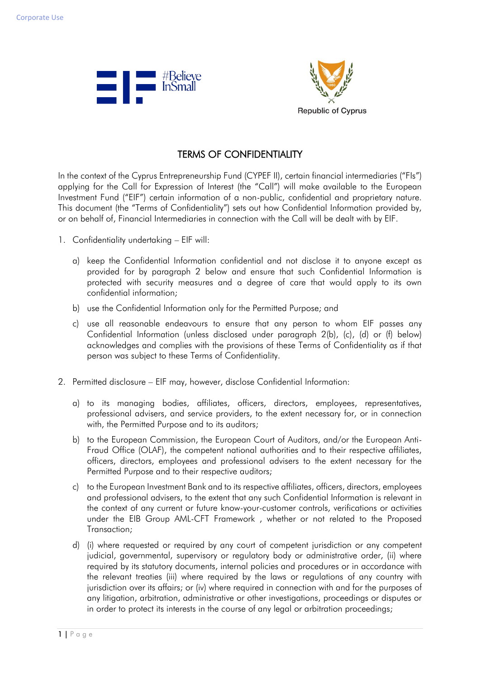



## TERMS OF CONFIDENTIALITY

In the context of the Cyprus Entrepreneurship Fund (CYPEF II), certain financial intermediaries ("FIs") applying for the Call for Expression of Interest (the "Call") will make available to the European Investment Fund ("EIF") certain information of a non-public, confidential and proprietary nature. This document (the "Terms of Confidentiality") sets out how Confidential Information provided by, or on behalf of, Financial Intermediaries in connection with the Call will be dealt with by EIF.

- 1. Confidentiality undertaking EIF will:
	- a) keep the Confidential Information confidential and not disclose it to anyone except as provided for by paragraph 2 below and ensure that such Confidential Information is protected with security measures and a degree of care that would apply to its own confidential information;
	- b) use the Confidential Information only for the Permitted Purpose; and
	- c) use all reasonable endeavours to ensure that any person to whom EIF passes any Confidential Information (unless disclosed under paragraph 2(b), (c), (d) or (f) below) acknowledges and complies with the provisions of these Terms of Confidentiality as if that person was subject to these Terms of Confidentiality.
- 2. Permitted disclosure EIF may, however, disclose Confidential Information:
	- a) to its managing bodies, affiliates, officers, directors, employees, representatives, professional advisers, and service providers, to the extent necessary for, or in connection with, the Permitted Purpose and to its auditors;
	- b) to the European Commission, the European Court of Auditors, and/or the European Anti-Fraud Office (OLAF), the competent national authorities and to their respective affiliates, officers, directors, employees and professional advisers to the extent necessary for the Permitted Purpose and to their respective auditors;
	- c) to the European Investment Bank and to its respective affiliates, officers, directors, employees and professional advisers, to the extent that any such Confidential Information is relevant in the context of any current or future know-your-customer controls, verifications or activities under the EIB Group AML-CFT Framework , whether or not related to the Proposed Transaction;
	- d) (i) where requested or required by any court of competent jurisdiction or any competent judicial, governmental, supervisory or regulatory body or administrative order, (ii) where required by its statutory documents, internal policies and procedures or in accordance with the relevant treaties (iii) where required by the laws or regulations of any country with jurisdiction over its affairs; or (iv) where required in connection with and for the purposes of any litigation, arbitration, administrative or other investigations, proceedings or disputes or in order to protect its interests in the course of any legal or arbitration proceedings;